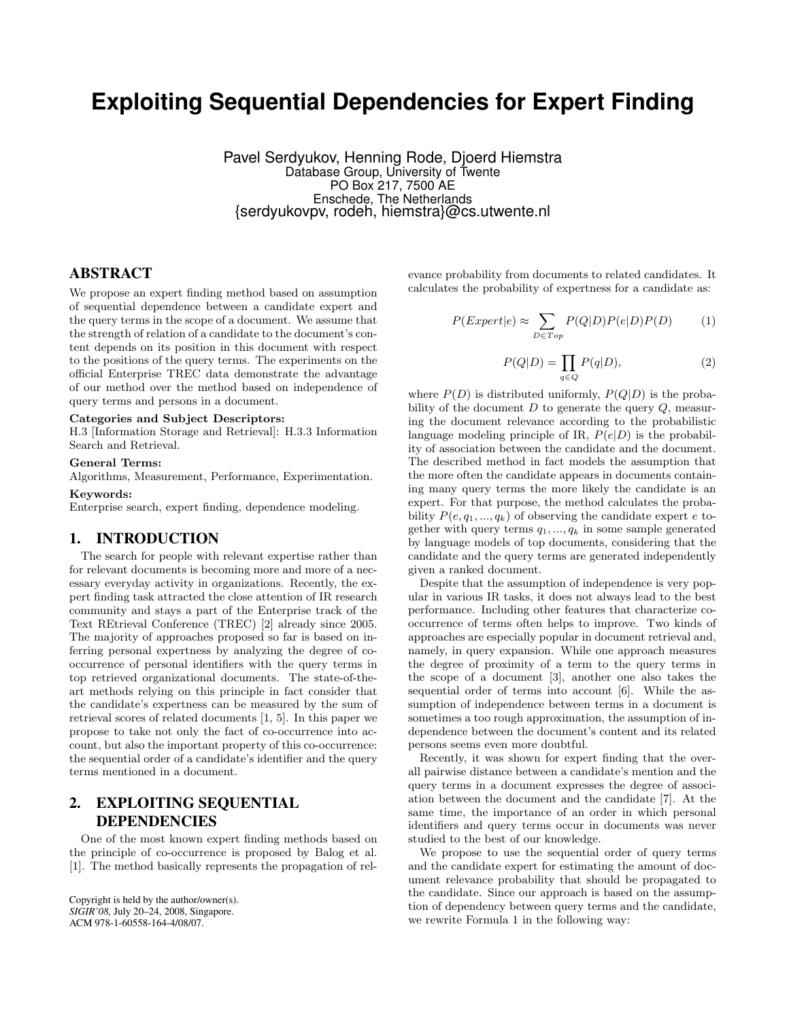# **Exploiting Sequential Dependencies for Expert Finding**

Pavel Serdyukov, Henning Rode, Djoerd Hiemstra Database Group, University of Twente PO Box 217, 7500 AE Enschede, The Netherlands {serdyukovpv, rodeh, hiemstra}@cs.utwente.nl

# ABSTRACT

We propose an expert finding method based on assumption of sequential dependence between a candidate expert and the query terms in the scope of a document. We assume that the strength of relation of a candidate to the document's content depends on its position in this document with respect to the positions of the query terms. The experiments on the official Enterprise TREC data demonstrate the advantage of our method over the method based on independence of query terms and persons in a document.

#### Categories and Subject Descriptors:

H.3 [Information Storage and Retrieval]: H.3.3 Information Search and Retrieval.

#### General Terms:

Algorithms, Measurement, Performance, Experimentation.

#### Keywords:

Enterprise search, expert finding, dependence modeling.

## 1. INTRODUCTION

The search for people with relevant expertise rather than for relevant documents is becoming more and more of a necessary everyday activity in organizations. Recently, the expert finding task attracted the close attention of IR research community and stays a part of the Enterprise track of the Text REtrieval Conference (TREC) [2] already since 2005. The majority of approaches proposed so far is based on inferring personal expertness by analyzing the degree of cooccurrence of personal identifiers with the query terms in top retrieved organizational documents. The state-of-theart methods relying on this principle in fact consider that the candidate's expertness can be measured by the sum of retrieval scores of related documents [1, 5]. In this paper we propose to take not only the fact of co-occurrence into account, but also the important property of this co-occurrence: the sequential order of a candidate's identifier and the query terms mentioned in a document.

# 2. EXPLOITING SEQUENTIAL DEPENDENCIES

One of the most known expert finding methods based on the principle of co-occurrence is proposed by Balog et al. [1]. The method basically represents the propagation of rel-

Copyright is held by the author/owner(s). *SIGIR'08,* July 20–24, 2008, Singapore. ACM 978-1-60558-164-4/08/07.

evance probability from documents to related candidates. It calculates the probability of expertness for a candidate as:

$$
P(Expert|e) \approx \sum_{D \in Top} P(Q|D)P(e|D)P(D) \tag{1}
$$

$$
P(Q|D) = \prod_{q \in Q} P(q|D),\tag{2}
$$

where  $P(D)$  is distributed uniformly,  $P(Q|D)$  is the probability of the document  $D$  to generate the query  $Q$ , measuring the document relevance according to the probabilistic language modeling principle of IR,  $P(e|D)$  is the probability of association between the candidate and the document. The described method in fact models the assumption that the more often the candidate appears in documents containing many query terms the more likely the candidate is an expert. For that purpose, the method calculates the probability  $P(e, q_1, ..., q_k)$  of observing the candidate expert e together with query terms  $q_1, ..., q_k$  in some sample generated by language models of top documents, considering that the candidate and the query terms are generated independently given a ranked document.

Despite that the assumption of independence is very popular in various IR tasks, it does not always lead to the best performance. Including other features that characterize cooccurrence of terms often helps to improve. Two kinds of approaches are especially popular in document retrieval and, namely, in query expansion. While one approach measures the degree of proximity of a term to the query terms in the scope of a document [3], another one also takes the sequential order of terms into account [6]. While the assumption of independence between terms in a document is sometimes a too rough approximation, the assumption of independence between the document's content and its related persons seems even more doubtful.

Recently, it was shown for expert finding that the overall pairwise distance between a candidate's mention and the query terms in a document expresses the degree of association between the document and the candidate [7]. At the same time, the importance of an order in which personal identifiers and query terms occur in documents was never studied to the best of our knowledge.

We propose to use the sequential order of query terms and the candidate expert for estimating the amount of document relevance probability that should be propagated to the candidate. Since our approach is based on the assumption of dependency between query terms and the candidate, we rewrite Formula 1 in the following way: